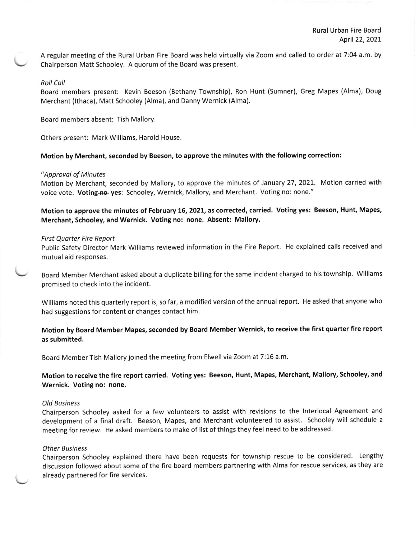A regular meeting of the Rural Urban Fire Board was held virtually via Zoom and called to order at 7:04 a.m. by Chairperson Matt Schooley. A quorum of the Board was present.

### Roll Coll

Board members present: Kevin Beeson (Bethany Township), Ron Hunt (Sumner), Greg Mapes (Alma), Doug Merchant (lthaca), Matt Schooley (Alma), and Danny Wernick (Alma).

Board members absent: Tish Mallory.

others present: Mark williams, Harold House.

# Motion by Merchant, seconded by Beeson, to approve the minutes with the following correction:

### "Approval of Minutes

Motion by Merchant, seconded by Mallory, to approve the minutes of January 27, 2021. Motion carried with voice vote. Voting-no- yes: Schooley, Wernick, Mallory, and Merchant. Voting no: none."

Motion to approve the minutes of February 16, 2021, as corrected, carried. Voting yes: Beeson, Hunt, Mapes, Merchant, Schooley, and Wernick. Voting no: none. Absent: Mallory.

### First Quarter Fire Report

Public Safety Director Mark Williams reviewed information in the Fire Report. He explained calls received and mutual aid responses.

Board Member Merchant asked about a duplicate billing for the same incident charged to his township. Williams promised to check into the incident.

Williams noted this quarterly report is, so far, a modified version of the annual report. He asked that anyone who had suggestions for content or changes contact him.

## Motion by Board Member Mapes, seconded by Board Member Wernick, to receive the first quarter fire report as submitted.

Board Member Tish Mallory joined the meeting from Elwell via Zoom at 7:15 a.m

Motion to receive the fire report carried. Voting yes: Beeson, Hunt, Mapes, Merchant, Mallory, Schooley, and Wernick, Voting no: none.

#### Old Business

Chairperson Schooley asked for a few volunteers to assist with revisions to the lnterlocal Agreement and development of a final draft. Beeson, Mapes, and Merchant volunteered to assist. Schooley will schedule <sup>a</sup> meeting for review. He asked members to make of list of things they feel need to be addressed.

#### Other Business

Chairperson Schooley explained there have been requests for township rescue to be considered. Lengthy discussion followed about some of the fire board members partnering with Alma for rescue services, as they are already partnered for fire services.